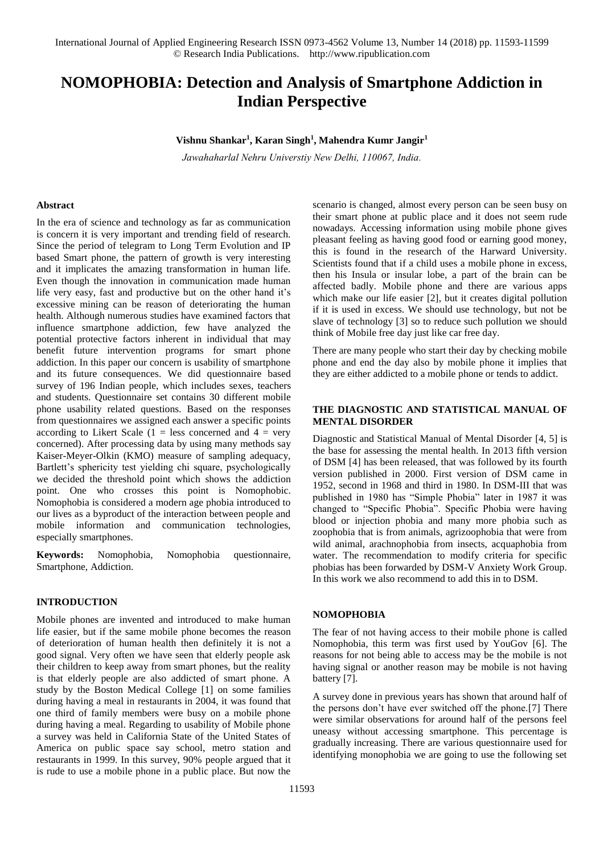# **NOMOPHOBIA: Detection and Analysis of Smartphone Addiction in Indian Perspective**

**Vishnu Shankar<sup>1</sup> , Karan Singh<sup>1</sup> , Mahendra Kumr Jangir<sup>1</sup>**

*Jawahaharlal [Nehru Universtiy New D](mailto:Karancs12@gmail.com)[elhi, 110067, India.](mailto:jangirnawalgarh@gmail.com)* 

## **Abstract**

In the era of science and technology as far as communication is concern it is very important and trending field of research. Since the period of telegram to Long Term Evolution and IP based Smart phone, the pattern of growth is very interesting and it implicates the amazing transformation in human life. Even though the innovation in communication made human life very easy, fast and productive but on the other hand it's excessive mining can be reason of deteriorating the human health. Although numerous studies have examined factors that influence smartphone addiction, few have analyzed the potential protective factors inherent in individual that may benefit future intervention programs for smart phone addiction. In this paper our concern is usability of smartphone and its future consequences. We did questionnaire based survey of 196 Indian people, which includes sexes, teachers and students. Questionnaire set contains 30 different mobile phone usability related questions. Based on the responses from questionnaires we assigned each answer a specific points according to Likert Scale  $(1 = \text{less concerned and } 4 = \text{very})$ concerned). After processing data by using many methods say Kaiser-Meyer-Olkin (KMO) measure of sampling adequacy, Bartlett's sphericity test yielding chi square, psychologically we decided the threshold point which shows the addiction point. One who crosses this point is Nomophobic. Nomophobia is considered a modern age phobia introduced to our lives as a byproduct of the interaction between people and mobile information and communication technologies, especially smartphones.

**Keywords:** Nomophobia, Nomophobia questionnaire, Smartphone, Addiction.

# **INTRODUCTION**

Mobile phones are invented and introduced to make human life easier, but if the same mobile phone becomes the reason of deterioration of human health then definitely it is not a good signal. Very often we have seen that elderly people ask their children to keep away from smart phones, but the reality is that elderly people are also addicted of smart phone. A study by the Boston Medical College [1] on some families during having a meal in restaurants in 2004, it was found that one third of family members were busy on a mobile phone during having a meal. Regarding to usability of Mobile phone a survey was held in California State of the United States of America on public space say school, metro station and restaurants in 1999. In this survey, 90% people argued that it is rude to use a mobile phone in a public place. But now the

scenario is changed, almost every person can be seen busy on their smart phone at public place and it does not seem rude nowadays. Accessing information using mobile phone gives pleasant feeling as having good food or earning good money, this is found in the research of the Harward University. Scientists found that if a child uses a mobile phone in excess, then his Insula or insular lobe, a part of the brain can be affected badly. Mobile phone and there are various apps which make our life easier [2], but it creates digital pollution if it is used in excess. We should use technology, but not be slave of technology [3] so to reduce such pollution we should think of Mobile free day just like car free day.

There are many people who start their day by checking mobile phone and end the day also by mobile phone it implies that they are either addicted to a mobile phone or tends to addict.

# **THE DIAGNOSTIC AND STATISTICAL MANUAL OF MENTAL DISORDER**

Diagnostic and Statistical Manual of Mental Disorder [4, 5] is the base for assessing the mental health. In 2013 fifth version of DSM [4] has been released, that was followed by its fourth version published in 2000. First version of DSM came in 1952, second in 1968 and third in 1980. In DSM-III that was published in 1980 has "Simple Phobia" later in 1987 it was changed to "Specific Phobia". Specific Phobia were having blood or injection phobia and many more phobia such as zoophobia that is from animals, agrizoophobia that were from wild animal, arachnophobia from insects, acquaphobia from water. The recommendation to modify criteria for specific phobias has been forwarded by DSM-V Anxiety Work Group. In this work we also recommend to add this in to DSM.

### **NOMOPHOBIA**

The fear of not having access to their mobile phone is called Nomophobia, this term was first used by YouGov [6]. The reasons for not being able to access may be the mobile is not having signal or another reason may be mobile is not having battery [7].

A survey done in previous years has shown that around half of the persons don't have ever switched off the phone.[7] There were similar observations for around half of the persons feel uneasy without accessing smartphone. This percentage is gradually increasing. There are various questionnaire used for identifying monophobia we are going to use the following set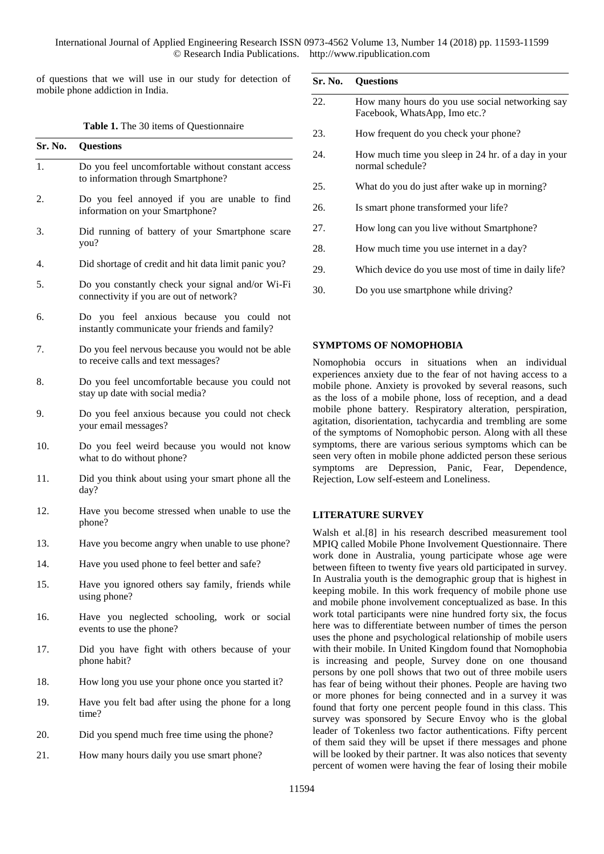of questions that we will use in our study for detection of mobile phone addiction in India.

| <b>Table 1.</b> The 30 items of Questionnaire |  |  |  |  |
|-----------------------------------------------|--|--|--|--|
|-----------------------------------------------|--|--|--|--|

| Sr. No. | <b>Questions</b>                                                                            |
|---------|---------------------------------------------------------------------------------------------|
| 1.      | Do you feel uncomfortable without constant access<br>to information through Smartphone?     |
| 2.      | Do you feel annoyed if you are unable to find<br>information on your Smartphone?            |
| 3.      | Did running of battery of your Smartphone scare<br>you?                                     |
| 4.      | Did shortage of credit and hit data limit panic you?                                        |
| 5.      | Do you constantly check your signal and/or Wi-Fi<br>connectivity if you are out of network? |
| 6.      | Do you feel anxious because you could not<br>instantly communicate your friends and family? |
| 7.      | Do you feel nervous because you would not be able<br>to receive calls and text messages?    |
| 8.      | Do you feel uncomfortable because you could not<br>stay up date with social media?          |
| 9.      | Do you feel anxious because you could not check<br>your email messages?                     |
| 10.     | Do you feel weird because you would not know<br>what to do without phone?                   |
| 11.     | Did you think about using your smart phone all the<br>day?                                  |
| 12.     | Have you become stressed when unable to use the<br>phone?                                   |
| 13.     | Have you become angry when unable to use phone?                                             |
| 14.     | Have you used phone to feel better and safe?                                                |
| 15.     | Have you ignored others say family, friends while<br>using phone?                           |
| 16.     | Have you neglected schooling, work or social<br>events to use the phone?                    |
| 17.     | Did you have fight with others because of your<br>phone habit?                              |
| 18.     | How long you use your phone once you started it?                                            |
| 19.     | Have you felt bad after using the phone for a long<br>time?                                 |
| 20.     | Did you spend much free time using the phone?                                               |
| 21.     | How many hours daily you use smart phone?                                                   |
|         | 1159                                                                                        |

|     | Sr. No. Questions                                                                |
|-----|----------------------------------------------------------------------------------|
| 22. | How many hours do you use social networking say<br>Facebook, WhatsApp, Imo etc.? |
| 23. | How frequent do you check your phone?                                            |
| 24. | How much time you sleep in 24 hr. of a day in your<br>normal schedule?           |
| 25. | What do you do just after wake up in morning?                                    |
| 26. | Is smart phone transformed your life?                                            |
| 27. | How long can you live without Smartphone?                                        |
| 28. | How much time you use internet in a day?                                         |
| 29. | Which device do you use most of time in daily life?                              |
| 30. | Do you use smartphone while driving?                                             |

## **SYMPTOMS OF NOMOPHOBIA**

Nomophobia occurs in situations when an individual experiences anxiety due to the fear of not having access to a mobile phone. Anxiety is provoked by several reasons, such as the loss of a mobile phone, loss of reception, and a dead mobile phone battery. Respiratory alteration, perspiration, agitation, disorientation, tachycardia and trembling are some of the symptoms of Nomophobic person. Along with all these symptoms, there are various serious symptoms which can be seen very often in mobile phone addicted person these serious symptoms are Depression, Panic, Fear, Dependence, Rejection, Low self-esteem and Loneliness.

## **LITERATURE SURVEY**

Walsh et al.[8] in his research described measurement tool MPIQ called Mobile Phone Involvement Questionnaire. There work done in Australia, young participate whose age were between fifteen to twenty five years old participated in survey. In Australia youth is the demographic group that is highest in keeping mobile. In this work frequency of mobile phone use and mobile phone involvement conceptualized as base. In this work total participants were nine hundred forty six, the focus here was to differentiate between number of times the person uses the phone and psychological relationship of mobile users with their mobile. In United Kingdom found that Nomophobia is increasing and people, Survey done on one thousand persons by one poll shows that two out of three mobile users has fear of being without their phones. People are having two or more phones for being connected and in a survey it was found that forty one percent people found in this class. This survey was sponsored by Secure Envoy who is the global leader of Tokenless two factor authentications. Fifty percent of them said they will be upset if there messages and phone will be looked by their partner. It was also notices that seventy percent of women were having the fear of losing their mobile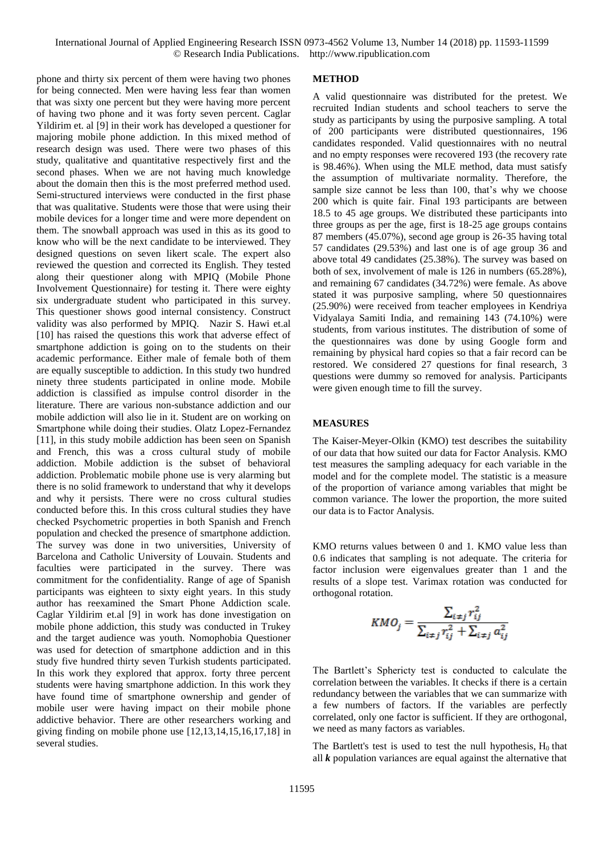International Journal of Applied Engineering Research ISSN 0973-4562 Volume 13, Number 14 (2018) pp. 11593-11599 © Research India Publications. http://www.ripublication.com

phone and thirty six percent of them were having two phones for being connected. Men were having less fear than women that was sixty one percent but they were having more percent of having two phone and it was forty seven percent. Caglar Yildirim et. al [9] in their work has developed a questioner for majoring mobile phone addiction. In this mixed method of research design was used. There were two phases of this study, qualitative and quantitative respectively first and the second phases. When we are not having much knowledge about the domain then this is the most preferred method used. Semi-structured interviews were conducted in the first phase that was qualitative. Students were those that were using their mobile devices for a longer time and were more dependent on them. The snowball approach was used in this as its good to know who will be the next candidate to be interviewed. They designed questions on seven likert scale. The expert also reviewed the question and corrected its English. They tested along their questioner along with MPIQ (Mobile Phone Involvement Questionnaire) for testing it. There were eighty six undergraduate student who participated in this survey. This questioner shows good internal consistency. Construct validity was also performed by MPIQ. Nazir S. Hawi et.al [10] has raised the questions this work that adverse effect of smartphone addiction is going on to the students on their academic performance. Either male of female both of them are equally susceptible to addiction. In this study two hundred ninety three students participated in online mode. Mobile addiction is classified as impulse control disorder in the literature. There are various non-substance addiction and our mobile addiction will also lie in it. Student are on working on Smartphone while doing their studies. Olatz Lopez-Fernandez [11], in this study mobile addiction has been seen on Spanish and French, this was a cross cultural study of mobile addiction. Mobile addiction is the subset of behavioral addiction. Problematic mobile phone use is very alarming but there is no solid framework to understand that why it develops and why it persists. There were no cross cultural studies conducted before this. In this cross cultural studies they have checked Psychometric properties in both Spanish and French population and checked the presence of smartphone addiction. The survey was done in two universities, University of Barcelona and Catholic University of Louvain. Students and faculties were participated in the survey. There was commitment for the confidentiality. Range of age of Spanish participants was eighteen to sixty eight years. In this study author has reexamined the Smart Phone Addiction scale. Caglar Yildirim et.al [9] in work has done investigation on mobile phone addiction, this study was conducted in Trukey and the target audience was youth. Nomophobia Questioner was used for detection of smartphone addiction and in this study five hundred thirty seven Turkish students participated. In this work they explored that approx. forty three percent students were having smartphone addiction. In this work they have found time of smartphone ownership and gender of mobile user were having impact on their mobile phone addictive behavior. There are other researchers working and giving finding on mobile phone use [12,13,14,15,16,17,18] in several studies.

#### **METHOD**

A valid questionnaire was distributed for the pretest. We recruited Indian students and school teachers to serve the study as participants by using the purposive sampling. A total of 200 participants were distributed questionnaires, 196 candidates responded. Valid questionnaires with no neutral and no empty responses were recovered 193 (the recovery rate is 98.46%). When using the MLE method, data must satisfy the assumption of multivariate normality. Therefore, the sample size cannot be less than 100, that's why we choose 200 which is quite fair. Final 193 participants are between 18.5 to 45 age groups. We distributed these participants into three groups as per the age, first is 18-25 age groups contains 87 members (45.07%), second age group is 26-35 having total 57 candidates (29.53%) and last one is of age group 36 and above total 49 candidates (25.38%). The survey was based on both of sex, involvement of male is 126 in numbers (65.28%), and remaining 67 candidates (34.72%) were female. As above stated it was purposive sampling, where 50 questionnaires (25.90%) were received from teacher employees in Kendriya Vidyalaya Samiti India, and remaining 143 (74.10%) were students, from various institutes. The distribution of some of the questionnaires was done by using Google form and remaining by physical hard copies so that a fair record can be restored. We considered 27 questions for final research, 3 questions were dummy so removed for analysis. Participants were given enough time to fill the survey.

#### **MEASURES**

The Kaiser-Meyer-Olkin (KMO) test describes the suitability of our data that how suited our data for Factor Analysis. KMO test measures the sampling adequacy for each variable in the model and for the complete model. The statistic is a measure of the proportion of variance among variables that might be common variance. The lower the proportion, the more suited our data is to Factor Analysis.

KMO returns values between 0 and 1. KMO value less than 0.6 indicates that sampling is not adequate. The criteria for factor inclusion were eigenvalues greater than 1 and the results of a slope test. Varimax rotation was conducted for orthogonal rotation.

$$
KMO_j = \frac{\sum_{i \neq j} r_{ij}^2}{\sum_{i \neq j} r_{ij}^2 + \sum_{i \neq j} a_{ij}^2}
$$

The Bartlett's Sphericty test is conducted to calculate the correlation between the variables. It checks if there is a certain redundancy between the variables that we can summarize with a few numbers of factors. If the variables are perfectly correlated, only one factor is sufficient. If they are orthogonal, we need as many factors as variables.

The Bartlett's test is used to test the null hypothesis,  $H_0$  that all *k* population variances are equal against the alternative that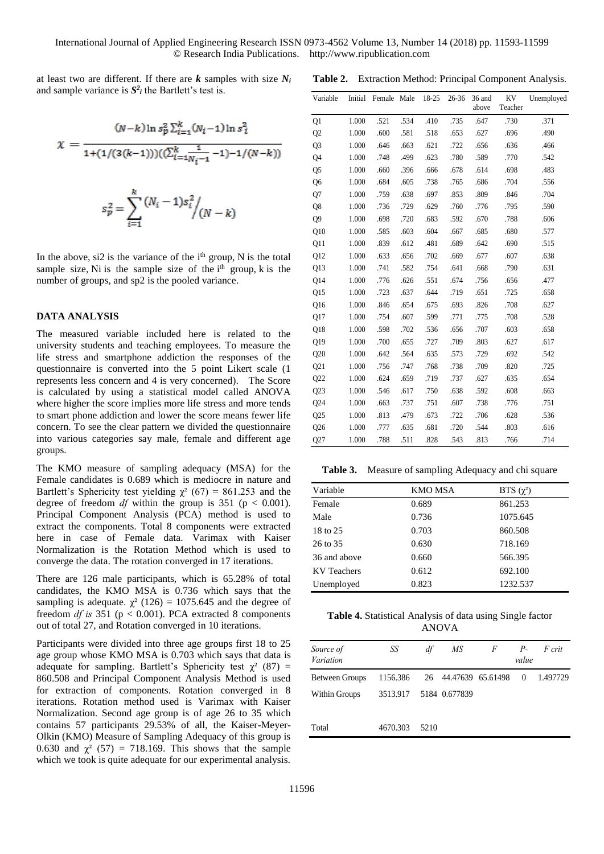at least two are different. If there are *k* samples with size *N<sup>i</sup>* and sample variance is  $S^2$  the Bartlett's test is.

$$
\chi = \frac{(N-k)\ln s_p^2 \sum_{i=1}^k (N_i - 1)\ln s_i^2}{1 + (1/(3(k-1)))(\sum_{i=1}^k N_i - 1) - 1/(N-k))}
$$

$$
s_p^2 = \sum_{i=1}^k \frac{(N_i - 1)s_i^2}{N_i - k}
$$

In the above,  $si2$  is the variance of the  $i<sup>th</sup>$  group, N is the total sample size, Ni is the sample size of the  $i<sup>th</sup>$  group, k is the number of groups, and sp2 is the pooled variance.

 $i=1$ 

## **DATA ANALYSIS**

The measured variable included here is related to the university students and teaching employees. To measure the life stress and smartphone addiction the responses of the questionnaire is converted into the 5 point Likert scale (1 represents less concern and 4 is very concerned). The Score is calculated by using a statistical model called ANOVA where higher the score implies more life stress and more tends to smart phone addiction and lower the score means fewer life concern. To see the clear pattern we divided the questionnaire into various categories say male, female and different age groups.

The KMO measure of sampling adequacy (MSA) for the Female candidates is 0.689 which is mediocre in nature and Bartlett's Sphericity test yielding  $\chi^2$  (67) = 861.253 and the degree of freedom *df* within the group is 351 ( $p < 0.001$ ). Principal Component Analysis (PCA) method is used to extract the components. Total 8 components were extracted here in case of Female data. Varimax with Kaiser Normalization is the Rotation Method which is used to converge the data. The rotation converged in 17 iterations.

There are 126 male participants, which is 65.28% of total candidates, the KMO MSA is 0.736 which says that the sampling is adequate.  $\chi^2$  (126) = 1075.645 and the degree of freedom *df is* 351 (p < 0.001). PCA extracted 8 components out of total 27, and Rotation converged in 10 iterations.

Participants were divided into three age groups first 18 to 25 age group whose KMO MSA is 0.703 which says that data is adequate for sampling. Bartlett's Sphericity test  $\chi^2$  (87) = 860.508 and Principal Component Analysis Method is used for extraction of components. Rotation converged in 8 iterations. Rotation method used is Varimax with Kaiser Normalization. Second age group is of age 26 to 35 which contains 57 participants 29.53% of all, the Kaiser-Meyer-Olkin (KMO) Measure of Sampling Adequacy of this group is 0.630 and  $\chi^2$  (57) = 718.169. This shows that the sample which we took is quite adequate for our experimental analysis.

|  | Table 2. Extraction Method: Principal Component Analysis. |  |  |  |  |
|--|-----------------------------------------------------------|--|--|--|--|
|--|-----------------------------------------------------------|--|--|--|--|

| Variable        |       | Initial Female Male |      | 18-25 | $26 - 36$ | 36 and<br>above | KV<br>Teacher | Unemployed |
|-----------------|-------|---------------------|------|-------|-----------|-----------------|---------------|------------|
| Q1              | 1.000 | .521                | .534 | .410  | .735      | .647            | .730          | .371       |
| Q <sub>2</sub>  | 1.000 | .600                | .581 | .518  | .653      | .627            | .696          | .490       |
| Q <sub>3</sub>  | 1.000 | .646                | .663 | .621  | .722      | .656            | .636          | .466       |
| Q4              | 1.000 | .748                | .499 | .623  | .780      | .589            | .770          | .542       |
| Q5              | 1.000 | .660                | .396 | .666  | .678      | .614            | .698          | .483       |
| Q <sub>6</sub>  | 1.000 | .684                | .605 | .738  | .765      | .686            | .704          | .556       |
| Q7              | 1.000 | .759                | .638 | .697  | .853      | .809            | .846          | .704       |
| Q8              | 1.000 | .736                | .729 | .629  | .760      | .776            | .795          | .590       |
| Q <sub>9</sub>  | 1.000 | .698                | .720 | .683  | .592      | .670            | .788          | .606       |
| Q10             | 1.000 | .585                | .603 | .604  | .667      | .685            | .680          | .577       |
| Q11             | 1.000 | .839                | .612 | .481  | .689      | .642            | .690          | .515       |
| Q12             | 1.000 | .633                | .656 | .702  | .669      | .677            | .607          | .638       |
| Q13             | 1.000 | .741                | .582 | .754  | .641      | .668            | .790          | .631       |
| Q14             | 1.000 | .776                | .626 | .551  | .674      | .756            | .656          | .477       |
| Q15             | 1.000 | .723                | .637 | .644  | .719      | .651            | .725          | .658       |
| Q16             | 1.000 | .846                | .654 | .675  | .693      | .826            | .708          | .627       |
| Q17             | 1.000 | .754                | .607 | .599  | .771      | .775            | .708          | .528       |
| Q18             | 1.000 | .598                | .702 | .536  | .656      | .707            | .603          | .658       |
| Q19             | 1.000 | .700                | .655 | .727  | .709      | .803            | .627          | .617       |
| Q20             | 1.000 | .642                | .564 | .635  | .573      | .729            | .692          | .542       |
| Q21             | 1.000 | .756                | .747 | .768  | .738      | .709            | .820          | .725       |
| Q22             | 1.000 | .624                | .659 | .719  | .737      | .627            | .635          | .654       |
| Q23             | 1.000 | .546                | .617 | .750  | .638      | .592            | .608          | .663       |
| Q24             | 1.000 | .663                | .737 | .751  | .607      | .738            | .776          | .751       |
| Q <sub>25</sub> | 1.000 | .813                | .479 | .673  | .722      | .706            | .628          | .536       |
| Q26             | 1.000 | .777                | .635 | .681  | .720      | .544            | .803          | .616       |
| Q27             | 1.000 | .788                | .511 | .828  | .543      | .813            | .766          | .714       |

**Table 3.** Measure of sampling Adequacy and chi square

| Variable           | <b>KMO MSA</b> | BTS $(\chi^2)$ |
|--------------------|----------------|----------------|
| Female             | 0.689          | 861.253        |
| Male               | 0.736          | 1075.645       |
| 18 to 25           | 0.703          | 860.508        |
| 26 to 35           | 0.630          | 718.169        |
| 36 and above       | 0.660          | 566.395        |
| <b>KV</b> Teachers | 0.612          | 692.100        |
| Unemployed         | 0.823          | 1232.537       |

**Table 4.** Statistical Analysis of data using Single factor ANOVA

| Source of<br>Variation | SS                            | df   | МS | F | $P-$<br>value | F crit   |
|------------------------|-------------------------------|------|----|---|---------------|----------|
| <b>Between Groups</b>  | 1156.386 26 44.47639 65.61498 |      |    |   | $\theta$      | 1.497729 |
| Within Groups          | 3513.917 5184 0.677839        |      |    |   |               |          |
| Total                  | 4670.303                      | 5210 |    |   |               |          |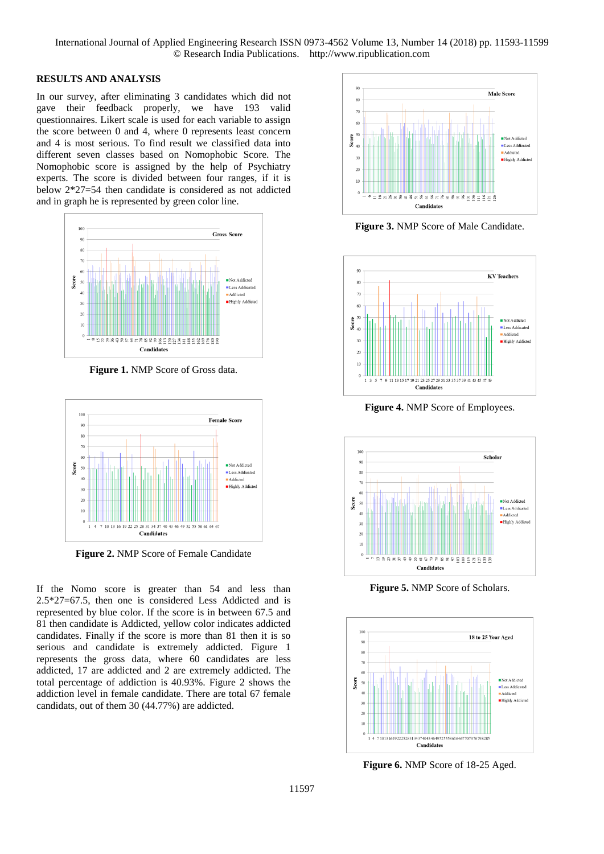# **RESULTS AND ANALYSIS**

In our survey, after eliminating 3 candidates which did not gave their feedback properly, we have 193 valid questionnaires. Likert scale is used for each variable to assign the score between 0 and 4, where 0 represents least concern and 4 is most serious. To find result we classified data into different seven classes based on Nomophobic Score. The Nomophobic score is assigned by the help of Psychiatry experts. The score is divided between four ranges, if it is below 2\*27=54 then candidate is considered as not addicted and in graph he is represented by green color line.



**Figure 1.** NMP Score of Gross data.



**Figure 2.** NMP Score of Female Candidate

If the Nomo score is greater than 54 and less than 2.5\*27=67.5, then one is considered Less Addicted and is represented by blue color. If the score is in between 67.5 and 81 then candidate is Addicted, yellow color indicates addicted candidates. Finally if the score is more than 81 then it is so serious and candidate is extremely addicted. Figure 1 represents the gross data, where 60 candidates are less addicted, 17 are addicted and 2 are extremely addicted. The total percentage of addiction is 40.93%. Figure 2 shows the addiction level in female candidate. There are total 67 female candidats, out of them 30 (44.77%) are addicted.



**Figure 3.** NMP Score of Male Candidate.



**Figure 4.** NMP Score of Employees.



**Figure 5.** NMP Score of Scholars.



**Figure 6.** NMP Score of 18-25 Aged.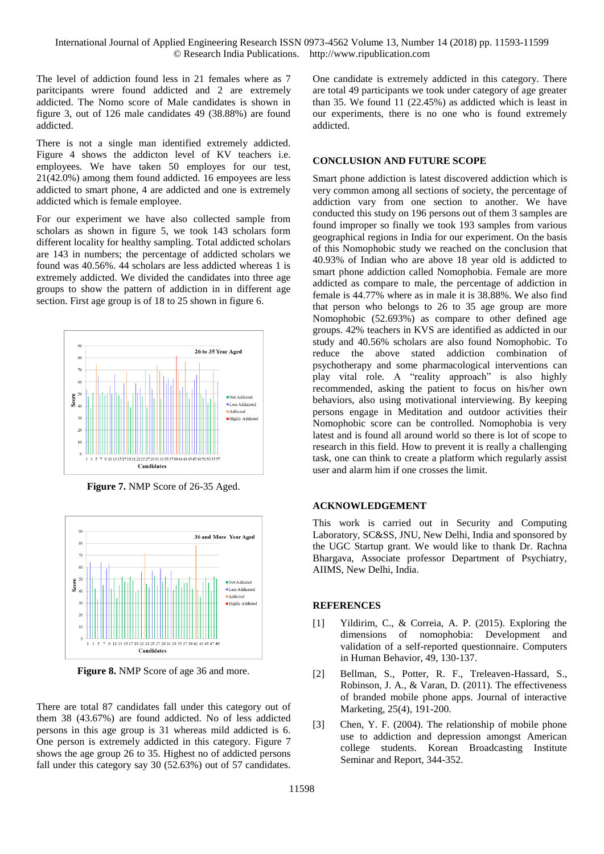International Journal of Applied Engineering Research ISSN 0973-4562 Volume 13, Number 14 (2018) pp. 11593-11599 © Research India Publications. http://www.ripublication.com

The level of addiction found less in 21 females where as 7 paritcipants wrere found addicted and 2 are extremely addicted. The Nomo score of Male candidates is shown in figure 3, out of 126 male candidates 49 (38.88%) are found addicted.

There is not a single man identified extremely addicted. Figure 4 shows the addicton level of KV teachers i.e. employees. We have taken 50 employes for our test, 21(42.0%) among them found addicted. 16 empoyees are less addicted to smart phone, 4 are addicted and one is extremely addicted which is female employee.

For our experiment we have also collected sample from scholars as shown in figure 5, we took 143 scholars form different locality for healthy sampling. Total addicted scholars are 143 in numbers; the percentage of addicted scholars we found was 40.56%. 44 scholars are less addicted whereas 1 is extremely addicted. We divided the candidates into three age groups to show the pattern of addiction in in different age section. First age group is of 18 to 25 shown in figure 6.



**Figure 7.** NMP Score of 26-35 Aged.



**Figure 8.** NMP Score of age 36 and more.

There are total 87 candidates fall under this category out of them 38 (43.67%) are found addicted. No of less addicted persons in this age group is 31 whereas mild addicted is 6. One person is extremely addicted in this category. Figure 7 shows the age group 26 to 35. Highest no of addicted persons fall under this category say 30 (52.63%) out of 57 candidates. One candidate is extremely addicted in this category. There are total 49 participants we took under category of age greater than 35. We found 11 (22.45%) as addicted which is least in our experiments, there is no one who is found extremely addicted.

# **CONCLUSION AND FUTURE SCOPE**

Smart phone addiction is latest discovered addiction which is very common among all sections of society, the percentage of addiction vary from one section to another. We have conducted this study on 196 persons out of them 3 samples are found improper so finally we took 193 samples from various geographical regions in India for our experiment. On the basis of this Nomophobic study we reached on the conclusion that 40.93% of Indian who are above 18 year old is addicted to smart phone addiction called Nomophobia. Female are more addicted as compare to male, the percentage of addiction in female is 44.77% where as in male it is 38.88%. We also find that person who belongs to 26 to 35 age group are more Nomophobic (52.693%) as compare to other defined age groups. 42% teachers in KVS are identified as addicted in our study and 40.56% scholars are also found Nomophobic. To reduce the above stated addiction combination of psychotherapy and some pharmacological interventions can play vital role. A "reality approach" is also highly recommended, asking the patient to focus on his/her own behaviors, also using motivational interviewing. By keeping persons engage in Meditation and outdoor activities their Nomophobic score can be controlled. Nomophobia is very latest and is found all around world so there is lot of scope to research in this field. How to prevent it is really a challenging task, one can think to create a platform which regularly assist user and alarm him if one crosses the limit.

## **ACKNOWLEDGEMENT**

This work is carried out in Security and Computing Laboratory, SC&SS, JNU, New Delhi, India and sponsored by the UGC Startup grant. We would like to thank Dr. Rachna Bhargava, Associate professor Department of Psychiatry, AIIMS, New Delhi, India.

## **REFERENCES**

- [1] Yildirim, C., & Correia, A. P. (2015). Exploring the dimensions of nomophobia: Development and validation of a self-reported questionnaire. Computers in Human Behavior, 49, 130-137.
- [2] Bellman, S., Potter, R. F., Treleaven-Hassard, S., Robinson, J. A., & Varan, D. (2011). The effectiveness of branded mobile phone apps. Journal of interactive Marketing, 25(4), 191-200.
- [3] Chen, Y. F. (2004). The relationship of mobile phone use to addiction and depression amongst American college students. Korean Broadcasting Institute Seminar and Report, 344-352.